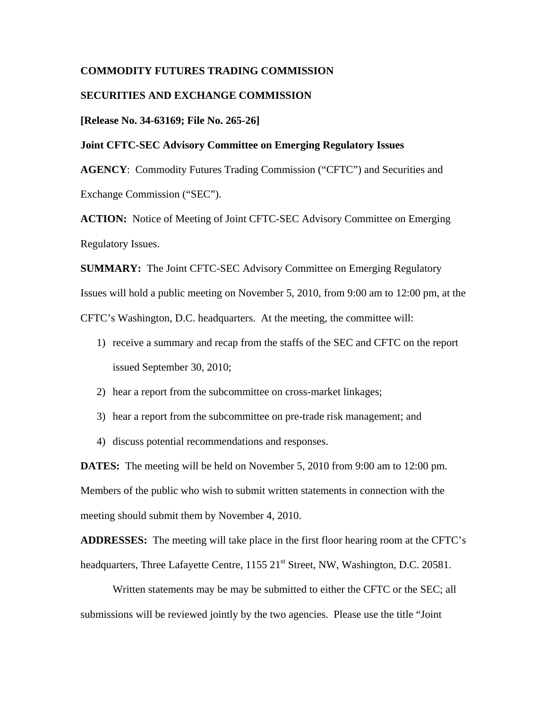# **COMMODITY FUTURES TRADING COMMISSION**

# **SECURITIES AND EXCHANGE COMMISSION**

#### **[Release No. 34-63169; File No. 265-26]**

# **Joint CFTC-SEC Advisory Committee on Emerging Regulatory Issues**

**AGENCY**: Commodity Futures Trading Commission ("CFTC") and Securities and Exchange Commission ("SEC").

**ACTION:** Notice of Meeting of Joint CFTC-SEC Advisory Committee on Emerging Regulatory Issues.

**SUMMARY:** The Joint CFTC-SEC Advisory Committee on Emerging Regulatory Issues will hold a public meeting on November 5, 2010, from 9:00 am to 12:00 pm, at the CFTC's Washington, D.C. headquarters. At the meeting, the committee will:

- 1) receive a summary and recap from the staffs of the SEC and CFTC on the report issued September 30, 2010;
- 2) hear a report from the subcommittee on cross-market linkages;
- 3) hear a report from the subcommittee on pre-trade risk management; and
- 4) discuss potential recommendations and responses.

**DATES:** The meeting will be held on November 5, 2010 from 9:00 am to 12:00 pm. Members of the public who wish to submit written statements in connection with the meeting should submit them by November 4, 2010.

**ADDRESSES:** The meeting will take place in the first floor hearing room at the CFTC's headquarters, Three Lafayette Centre, 1155 21<sup>st</sup> Street, NW, Washington, D.C. 20581.

Written statements may be may be submitted to either the CFTC or the SEC; all submissions will be reviewed jointly by the two agencies. Please use the title "Joint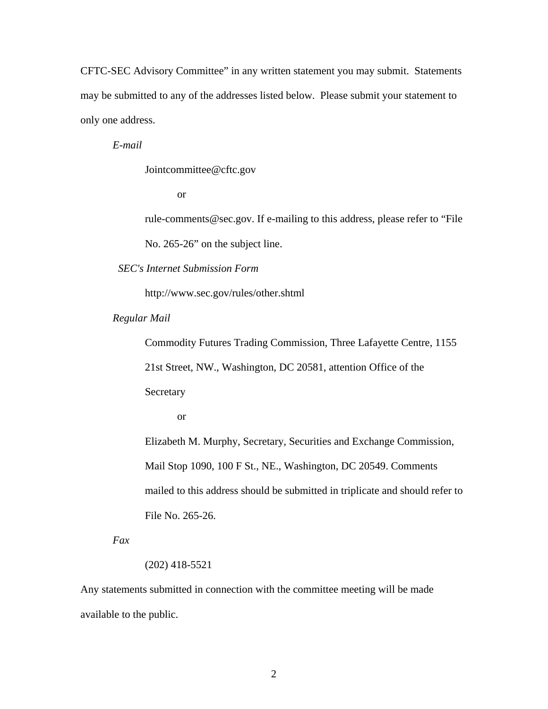CFTC-SEC Advisory Committee" in any written statement you may submit. Statements may be submitted to any of the addresses listed below. Please submit your statement to only one address.

*E-mail* 

Jointcommittee@cftc.gov

or

rule-comments@sec.gov. If e-mailing to this address, please refer to "File No. 265-26" on the subject line.

*SEC's Internet Submission Form* 

http://www.sec.gov/rules/other.shtml

*Regular Mail* 

Commodity Futures Trading Commission, Three Lafayette Centre, 1155

21st Street, NW., Washington, DC 20581, attention Office of the

Secretary

or

Elizabeth M. Murphy, Secretary, Securities and Exchange Commission, Mail Stop 1090, 100 F St., NE., Washington, DC 20549. Comments mailed to this address should be submitted in triplicate and should refer to File No. 265-26.

*Fax* 

#### (202) 418-5521

Any statements submitted in connection with the committee meeting will be made available to the public.